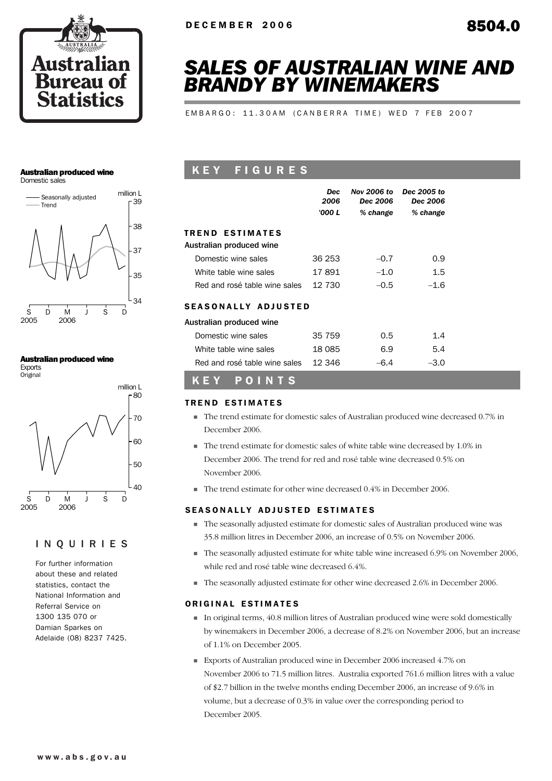

# *SALES OF AUSTRALIAN WINE AND BRANDY BY WINEMAKERS*

EMBARGO: 11.30AM (CANBERRA TIME) WED 7 FEB 2007

### Australian produced wine

Domestic sales



#### Australian produced wine

Exports **Original** 



### INQUIRIES

For further information about these and related statistics, contact the National Information and Referral Service on 1300 135 070 or Damian Sparkes on Adelaide (08) 8237 7425.

# K E Y F I G U R E S

|                               | <b>Dec</b><br>2006<br>'000 L | <b>Nov 2006 to</b><br>Dec 2006<br>% change | Dec 2005 to<br>Dec 2006<br>% change |  |
|-------------------------------|------------------------------|--------------------------------------------|-------------------------------------|--|
| TREND ESTIMATES               |                              |                                            |                                     |  |
| Australian produced wine      |                              |                                            |                                     |  |
| Domestic wine sales           | 36 253                       | $-0.7$                                     | 0.9                                 |  |
| White table wine sales        | 17891                        | $-1.0$                                     | 1.5                                 |  |
| Red and rosé table wine sales | 12 730                       | $-0.5$                                     | $-1.6$                              |  |
| SEASONALLY ADJUSTED           |                              |                                            |                                     |  |
| Australian produced wine      |                              |                                            |                                     |  |
| Domestic wine sales           | 35 759                       | 0.5                                        | 1.4                                 |  |
| White table wine sales        | 18 085                       | 6.9                                        | 5.4                                 |  |
| Red and rosé table wine sales | 12.346                       | $-6.4$                                     | $-3.0$                              |  |

# K E Y P O I N T S

### TREND ESTIMATES

- ! The trend estimate for domestic sales of Australian produced wine decreased 0.7% in December 2006.
- ! The trend estimate for domestic sales of white table wine decreased by 1.0% in December 2006. The trend for red and rosé table wine decreased 0.5% on November 2006.
- ! The trend estimate for other wine decreased 0.4% in December 2006.

### SEASONALLY ADJUSTED ESTIMATES

- ! The seasonally adjusted estimate for domestic sales of Australian produced wine was 35.8 million litres in December 2006, an increase of 0.5% on November 2006.
- ! The seasonally adjusted estimate for white table wine increased 6.9% on November 2006, while red and rosé table wine decreased 6.4%.
- ! The seasonally adjusted estimate for other wine decreased 2.6% in December 2006.

### ORIGINAL ESTIMATES

- ! In original terms, 40.8 million litres of Australian produced wine were sold domestically by winemakers in December 2006, a decrease of 8.2% on November 2006, but an increase of 1.1% on December 2005.
- ! Exports of Australian produced wine in December 2006 increased 4.7% on November 2006 to 71.5 million litres. Australia exported 761.6 million litres with a value of \$2.7 billion in the twelve months ending December 2006, an increase of 9.6% in volume, but a decrease of 0.3% in value over the corresponding period to December 2005.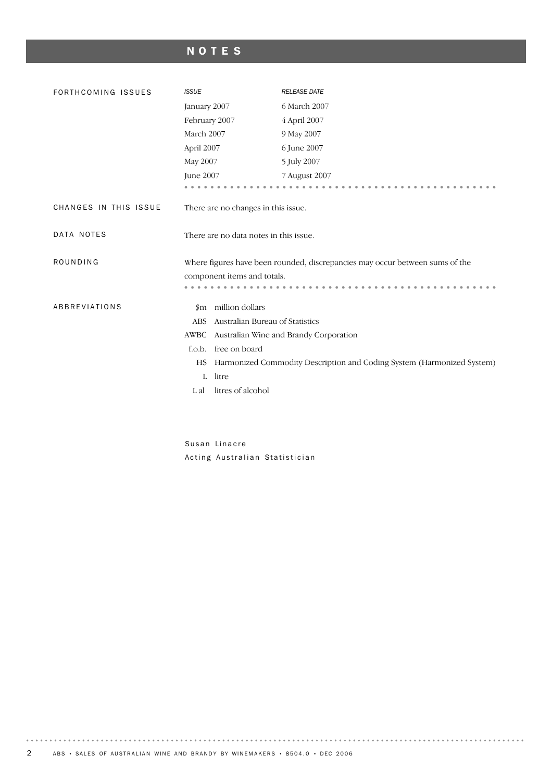# NOTES

| FORTHCOMING ISSUES    | <b>ISSUE</b>                        | <b>RELEASE DATE</b>                                                          |
|-----------------------|-------------------------------------|------------------------------------------------------------------------------|
|                       | January 2007                        | 6 March 2007                                                                 |
|                       | February 2007                       | 4 April 2007                                                                 |
|                       | March 2007                          | 9 May 2007                                                                   |
|                       | April 2007                          | 6 June 2007                                                                  |
|                       | May 2007                            | 5 July 2007                                                                  |
|                       | June 2007                           | 7 August 2007                                                                |
|                       |                                     |                                                                              |
| CHANGES IN THIS ISSUE | There are no changes in this issue. |                                                                              |
| DATA NOTES            |                                     | There are no data notes in this issue.                                       |
| ROUNDING              |                                     | Where figures have been rounded, discrepancies may occur between sums of the |
|                       | component items and totals.         |                                                                              |
|                       |                                     |                                                                              |
| ABBREVIATIONS         | million dollars<br>$_{\rm sm}$      |                                                                              |
|                       | <b>ABS</b>                          | Australian Bureau of Statistics                                              |
|                       | AWBC                                | Australian Wine and Brandy Corporation                                       |
|                       | free on board<br>f.o.b.             |                                                                              |
|                       | HS                                  | Harmonized Commodity Description and Coding System (Harmonized System)       |
|                       | litre<br>L                          |                                                                              |
|                       | litres of alcohol<br>L al           |                                                                              |
|                       |                                     |                                                                              |

Susan Linacre Acting Australian Statistician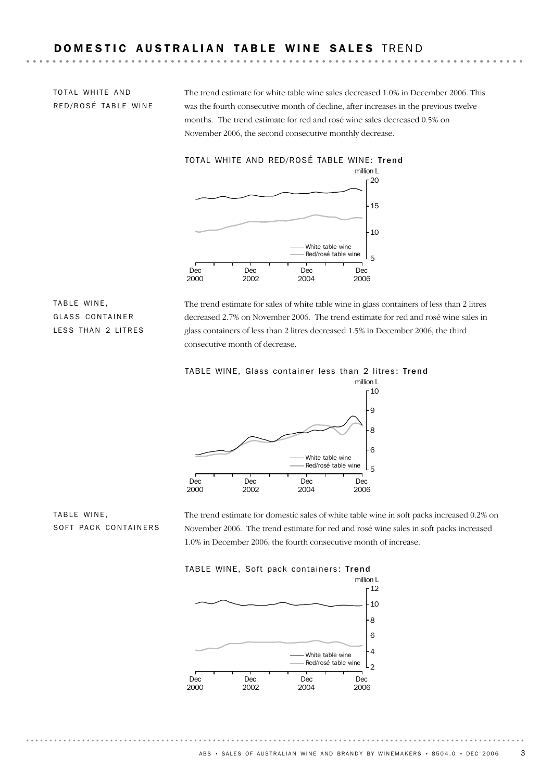# DOMESTIC AUSTRALIAN TABLE WINE SALES TREND

TOTAL WHITE AND RED/ROSÉ TABLE WINE The trend estimate for white table wine sales decreased 1.0% in December 2006. This was the fourth consecutive month of decline, after increases in the previous twelve months. The trend estimate for red and rosé wine sales decreased 0.5% on November 2006, the second consecutive monthly decrease.



TABLE WINE, GLASS CONTAINER LESS THAN 2 LITRES The trend estimate for sales of white table wine in glass containers of less than 2 litres decreased 2.7% on November 2006. The trend estimate for red and rosé wine sales in glass containers of less than 2 litres decreased 1.5% in December 2006, the third consecutive month of decrease.





TABLE WINE, SOFT PACK CONTAINERS The trend estimate for domestic sales of white table wine in soft packs increased 0.2% on November 2006. The trend estimate for red and rosé wine sales in soft packs increased 1.0% in December 2006, the fourth consecutive month of increase.

TABLE WINE, Soft pack containers: Trend

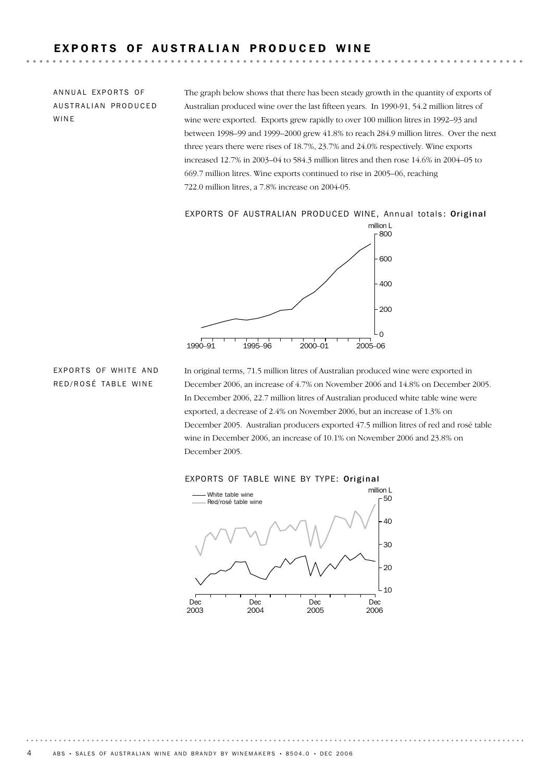# EXPORTS OF AUSTRALIAN PRODUCED WINE

ANNUAL EXPORTS OF AUSTRALIAN PRODUCED WINE

The graph below shows that there has been steady growth in the quantity of exports of Australian produced wine over the last fifteen years. In 1990-91, 54.2 million litres of wine were exported. Exports grew rapidly to over 100 million litres in 1992–93 and between 1998–99 and 1999–2000 grew 41.8% to reach 284.9 million litres. Over the next three years there were rises of 18.7%, 23.7% and 24.0% respectively. Wine exports increased 12.7% in 2003–04 to 584.3 million litres and then rose 14.6% in 2004–05 to 669.7 million litres. Wine exports continued to rise in 2005–06, reaching 722.0 million litres, a 7.8% increase on 2004-05.

#### EXPORTS OF AUSTRALIAN PRODUCED WINE, Annual totals: Original



## EXPORTS OF WHITE AND RED/ROSÉ TABLE WINE

In original terms, 71.5 million litres of Australian produced wine were exported in December 2006, an increase of 4.7% on November 2006 and 14.8% on December 2005. In December 2006, 22.7 million litres of Australian produced white table wine were exported, a decrease of 2.4% on November 2006, but an increase of 1.3% on December 2005. Australian producers exported 47.5 million litres of red and rosé table wine in December 2006, an increase of 10.1% on November 2006 and 23.8% on December 2005.



#### EXPORTS OF TABLE WINE BY TYPE: Original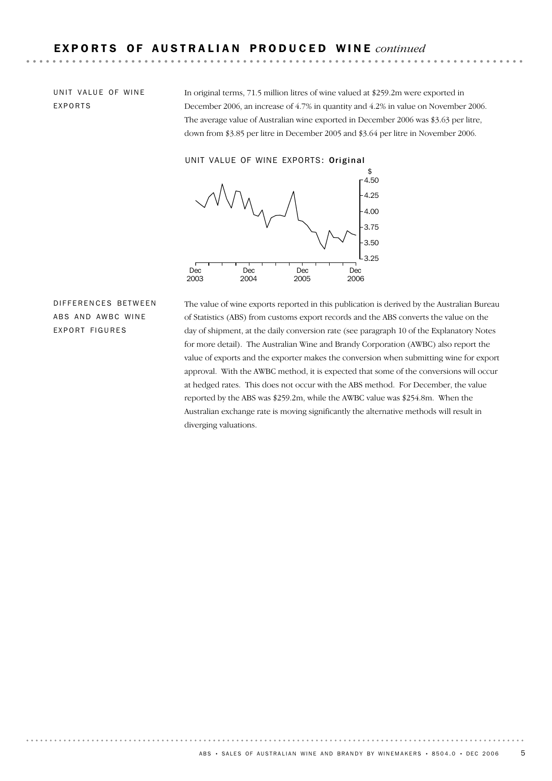UNIT VALUE OF WINE EXPORTS

In original terms, 71.5 million litres of wine valued at \$259.2m were exported in December 2006, an increase of 4.7% in quantity and 4.2% in value on November 2006. The average value of Australian wine exported in December 2006 was \$3.63 per litre, down from \$3.85 per litre in December 2005 and \$3.64 per litre in November 2006.

UNIT VALUE OF WINE EXPORTS: Original



DIFFERENCES BETWEEN ABS AND AWBC WINE EXPORT FIGURES

The value of wine exports reported in this publication is derived by the Australian Bureau of Statistics (ABS) from customs export records and the ABS converts the value on the day of shipment, at the daily conversion rate (see paragraph 10 of the Explanatory Notes for more detail). The Australian Wine and Brandy Corporation (AWBC) also report the value of exports and the exporter makes the conversion when submitting wine for export approval. With the AWBC method, it is expected that some of the conversions will occur at hedged rates. This does not occur with the ABS method. For December, the value reported by the ABS was \$259.2m, while the AWBC value was \$254.8m. When the Australian exchange rate is moving significantly the alternative methods will result in diverging valuations.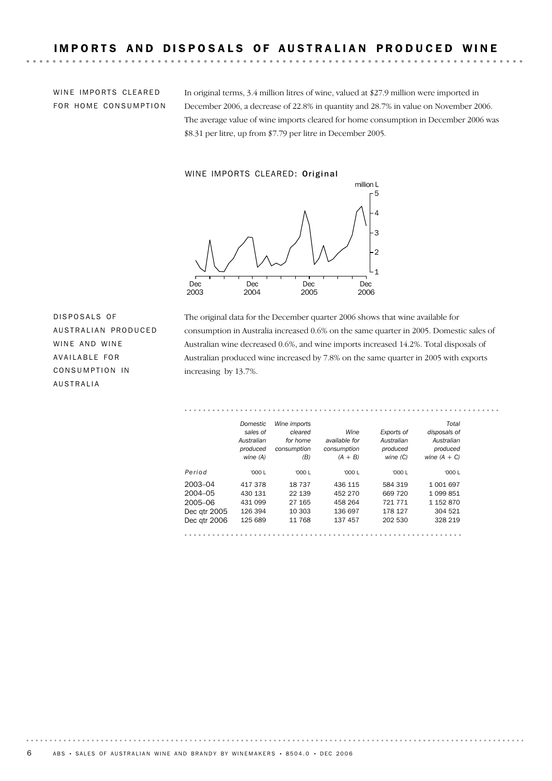WINE IMPORTS CLEARED FOR HOME CONSUMPTION

In original terms, 3.4 million litres of wine, valued at \$27.9 million were imported in December 2006, a decrease of 22.8% in quantity and 28.7% in value on November 2006. The average value of wine imports cleared for home consumption in December 2006 was \$8.31 per litre, up from \$7.79 per litre in December 2005.

#### WINE IMPORTS CLEARED: Original



DISPOSALS OF AUSTRALIAN PRODUCED WINE AND WINE AVAILABLE FOR CONSUMPTION IN AUSTRALIA

The original data for the December quarter 2006 shows that wine available for consumption in Australia increased 0.6% on the same quarter in 2005. Domestic sales of Australian wine decreased 0.6%, and wine imports increased 14.2%. Total disposals of Australian produced wine increased by 7.8% on the same quarter in 2005 with exports increasing by 13.7%.

|              | Domestic   | Wine imports |               |            | Total          |
|--------------|------------|--------------|---------------|------------|----------------|
|              | sales of   | cleared      | Wine          | Exports of | disposals of   |
|              | Australian | for home     | available for | Australian | Australian     |
|              | produced   | consumption  | consumption   | produced   | produced       |
|              | wine (A)   | (B)          | $(A + B)$     | wine(C)    | wine $(A + C)$ |
| Period       | '000 L     | '000L        | '000 L        | '000 L     | '000 L         |
| 2003-04      | 417378     | 18 7 37      | 436 115       | 584 319    | 1 001 697      |
| $2004 - 05$  | 430 131    | 22 139       | 452 270       | 669 720    | 1 0 9 8 8 5 1  |
| 2005-06      | 431 099    | 27 165       | 458 264       | 721 771    | 1 152 870      |
| Dec qtr 2005 | 126 394    | 10 303       | 136 697       | 178 127    | 304 521        |
| Dec gtr 2006 | 125 689    | 11 768       | 137 457       | 202 530    | 328 219        |

 $6$  ABS • SALES OF AUSTRALIAN WINE AND BRANDY BY WINEMAKERS • 8504.0 • DEC 2006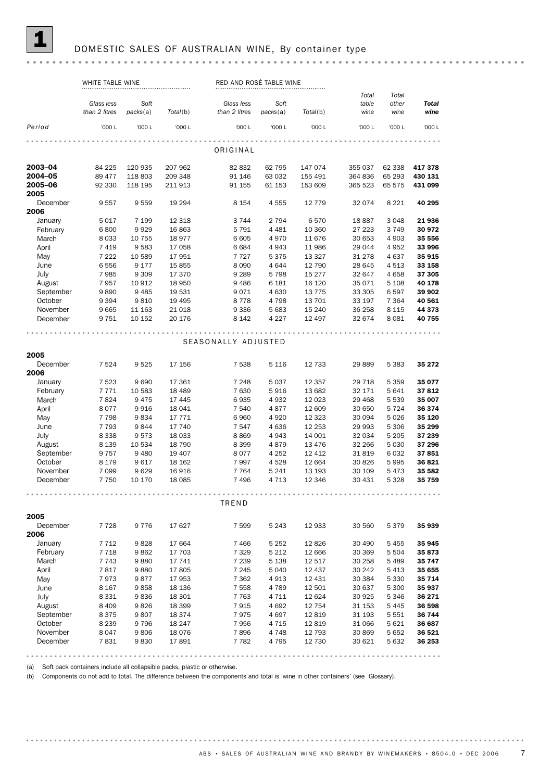#### DOMESTIC SALES OF AUSTRALIAN WINE, By container type

#### WHITE TABLE WINE **RED AND ROSÉ TABLE WINE** RED AND ROSÉ TABLE WINE *Total Total Glass less Soft Glass less Soft table other Total packs*(a) *than 2 litres packs*(a) *Total*(b) *than 2 litres Total*(b) *wine wine wine Period* '000 L '000 L '000 L '000 L '000 L '000 L '000 L '000 L '000 L ORIGINAL **2003–04** 84 225 120 935 207 962 82 832 62 795 147 074 355 037 62 338 **417 378**<br>**2004–05** 89 477 118 803 209 348 91 146 63 032 155 491 364 836 65 293 **430 131** 2003–04 84 225 120 935 207 962 82 832 62 795 147 074 355 037 62 338 417 378 2005–06 92 330 118 195 211 913 91 155 61 153 153 609 365 523 65 575 431 099 2005 December 9 557 9 559 19 294 8 154 4 555 12 779 32 074 8 221 40 295 2006 January 5 017 7 199 12 318 3 744 2 794 6 570 18 887 3 048 21 936 February 6 800 9 929 16 863 5 791 4 481 10 360 27 223 3 749 30 972 March 8 033 10 755 18 977 6 605 4 970 11 676 30 653 4 903 35 556 April 7 419 9 583 17 058 6 684 4 943 11 986 29 044 4 952 33 996<br>May 7 222 10 589 17 951 7 727 5 375 13 327 31 278 4 637 35 915 May 7 222 10 589 17 951 7 727 5 375 13 327 31 278 4 637 **35 915** June 6 556 9 177 15 855 8 090 4 644 12 790 28 645 4 513 33 158 July 7 985 9 309 17 370 9 289 5 798 15 277 32 647 4 658 37 305 August 7957 10 912 18 950 9 486 6 181 16 120 35 071 5 108 40 178<br>September 9 890 9 485 19 531 9 071 4 630 13 775 33 305 6 597 39 902 September 9890 9485 19531 9071 4630 13775 33305 6597 39902 October 9 394 9 810 19 301 9 401 4 600 13 773 33 300 6 397 39 302<br>October 9 394 9 810 19 4 95 8 778 4 798 13 701 33 197 7 364 40 561 November 9 665 11 163 21 018 9 336 5 683 15 240 36 258 8 115 44 373 December 9 751 10 152 20 176 8 142 4 227 12 497 32 674 8 081 40 755 SEASONALLY ADJUSTED 2005 December 7 524 9 525 17 156 7 538 5 116 12 733 29 889 5 383 35 272 2006 January 7 523 9 690 17 361 7 248 5 037 12 357 29 718 5 359 35 077 February 7 771 10 583 18 489 7 630 5 916 13 682 32 171 5 641 37 812 April 8 077 9 916 18 041 7 540 4 877 12 609 30 650 5 724 36 374 March 7 824 9 475 17 445 6 935 4 932 12 023 29 468 5 539 **35 007** May 7 798 9 834 17 771 6 960 4 920 12 323 30 094 5 026 **35 120** June 7 793 9 844 17 740 7 547 4 636 12 253 29 993 5 306 **35 299** July 8 338 9 573 18 033 8 869 4 943 14 001 32 034 5 205 37 239 August 8 139 10 534 18 790 8 399 4 879 13 476 32 266 5 030 37 296<br>September 9 757 9 480 19 407 8 077 4 252 12 412 31 819 6 032 37 851 September 9 757 9 480 19 407 8 077 4 252 12 412 31 819 6 032 37 851 October 8 179 9 480 19 407 8 8077 4 232 12 412 31 819 8032 37 831<br>October 8 179 9 617 18 162 7 997 4 528 12 664 30 826 5 995 36 821 November 7 099 9 629 16 916 7 764 5 241 13 193 30 109 5 473 35 582 December 7 750 10 170 18 085 7 496 4 713 12 346 30 431 5 328 35 759 TREND 2005 December 7 728 9 776 17 627 7 599 5 243 12 933 30 560 5 379 35 939 2006 January 7 712 9 828 17 664 7 466 5 252 12 826 30 490 5 455 35 945<br>
February 7 718 9 862 17 703 7 329 5 212 12 666 30 369 5 504 35 873 February 7718 9862 17 703 7329 5 212 12 666 30 369 5 504 35 873 Applicary<br>
April 110 9 002 11 100<br>
April 1 743 9 880 17 741 7 239 5 138 12 517 30 258 5 489 **35 747**<br>
April 1 7 817 9 880 17 805 7 245 5 040 12 437 30 242 5 413 **35 655**<br>
May 7 973 9 877 17 953 7 362 4 913 12 431 30 384 5 March 7 743 9 880 17 741 7 239 5 138 12 517 30 258 5 489 **35 747** May 7 973 9 877 17 953 7 362 4 913 12 431 30 384 5 330 **35 714** June 8 167 9 858 18 136 7 558 4 789 12 501 30 637 5 300 **35 937** July 8 331 9 836 18 301 7 763 4 711 12 624 30 925 5 346 36 271 August 8 409 9 826 18 399 7 915 4 692 12 754 31 153 5 445 36 598<br>
September 8 375 9 807 18 374 7 975 4 697 12 819 31 193 5 551 36 744 September 8 375 9 807 18 374 7 975 4 697 12 819 31 193 5 551 **36 744** October 8 239 9 796 18 247 7 956 4 715 12 819 31 066 5 621 36 687 November 8 047 9 806 18 076 7 896 4 748 12 793 30 869 5 652 36 521 December 7 831 9 830 17 891 7 782 4 795 12 730 30 621 5 632 36 253

(a) Soft pack containers include all collapsible packs, plastic or otherwise.

(b) Components do not add to total. The difference between the components and total is 'wine in other containers' (see Glossary).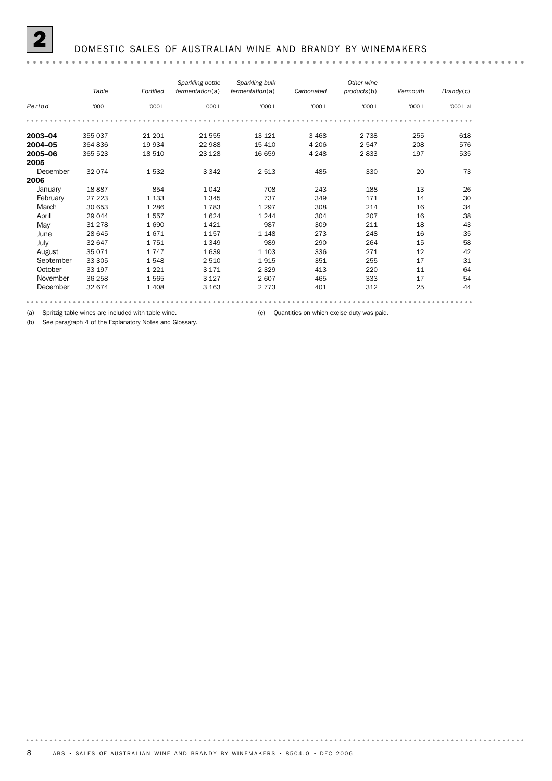|           | Table   | Fortified | Sparkling bottle<br>fermentation(a) | Sparkling bulk<br>fermentation(a) | Carbonated | Other wine<br>products(b) | Vermouth | Brandy(c) |
|-----------|---------|-----------|-------------------------------------|-----------------------------------|------------|---------------------------|----------|-----------|
| Period    | '000 L  | '000 L    | '000 L                              | '000 L                            | '000 L     | '000 L                    | '000 L   | '000 L al |
|           |         |           |                                     |                                   |            |                           |          |           |
| 2003-04   | 355 037 | 21 201    | 21 555                              | 13 121                            | 3 4 6 8    | 2 7 3 8                   | 255      | 618       |
| 2004-05   | 364 836 | 19 934    | 22 988                              | 15 4 10                           | 4 2 0 6    | 2547                      | 208      | 576       |
| 2005-06   | 365 523 | 18 510    | 23 1 28                             | 16 659                            | 4 2 4 8    | 2833                      | 197      | 535       |
| 2005      |         |           |                                     |                                   |            |                           |          |           |
| December  | 32 0 74 | 1532      | 3 3 4 2                             | 2 5 1 3                           | 485        | 330                       | 20       | 73        |
| 2006      |         |           |                                     |                                   |            |                           |          |           |
| January   | 18887   | 854       | 1 0 4 2                             | 708                               | 243        | 188                       | 13       | 26        |
| February  | 27 223  | 1 1 3 3   | 1 3 4 5                             | 737                               | 349        | 171                       | 14       | 30        |
| March     | 30 653  | 1 2 8 6   | 1783                                | 1 2 9 7                           | 308        | 214                       | 16       | 34        |
| April     | 29 044  | 1557      | 1624                                | 1 2 4 4                           | 304        | 207                       | 16       | 38        |
| May       | 31 278  | 1690      | 1421                                | 987                               | 309        | 211                       | 18       | 43        |
| June      | 28 645  | 1671      | 1 1 5 7                             | 1 1 4 8                           | 273        | 248                       | 16       | 35        |
| July      | 32 647  | 1751      | 1 3 4 9                             | 989                               | 290        | 264                       | 15       | 58        |
| August    | 35 071  | 1747      | 1639                                | 1 1 0 3                           | 336        | 271                       | 12       | 42        |
| September | 33 305  | 1548      | 2 5 1 0                             | 1915                              | 351        | 255                       | 17       | 31        |
| October   | 33 197  | 1 2 2 1   | 3 1 7 1                             | 2 3 2 9                           | 413        | 220                       | 11       | 64        |
| November  | 36 258  | 1565      | 3 1 2 7                             | 2607                              | 465        | 333                       | 17       | 54        |
| December  | 32 674  | 1 4 0 8   | 3 1 6 3                             | 2 7 7 3                           | 401        | 312                       | 25       | 44        |
|           |         |           |                                     |                                   |            |                           |          |           |

(a) Spritzig table wines are included with table wine. (c) Quantities on which excise duty was paid.

(b) See paragraph 4 of the Explanatory Notes and Glossary.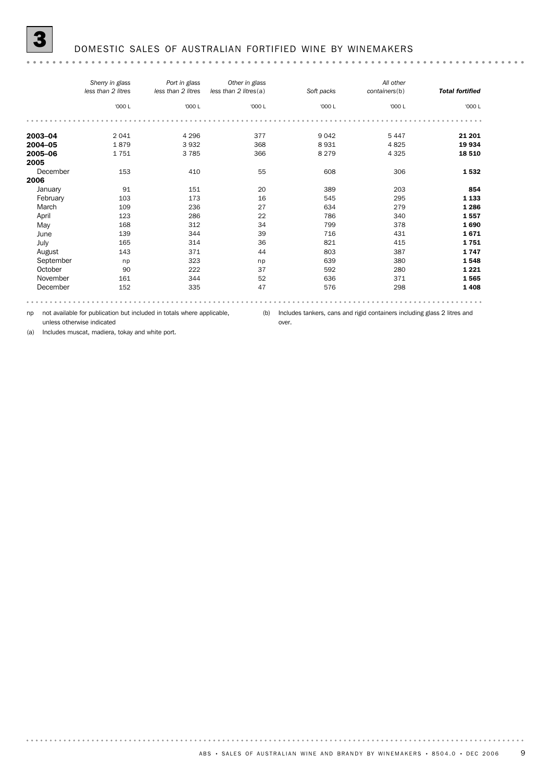|--|--|

|           | Sherry in glass<br>less than 2 litres | Port in glass<br>less than 2 litres | Other in glass<br>less than 2 litres(a) | Soft packs | All other<br>containers(b) | <b>Total fortified</b> |
|-----------|---------------------------------------|-------------------------------------|-----------------------------------------|------------|----------------------------|------------------------|
|           | '000 L                                | '000 L                              | '000 L                                  | '000 L     | '000 L                     | '000 L                 |
|           |                                       |                                     |                                         |            |                            |                        |
| 2003-04   | 2 0 4 1                               | 4 2 9 6                             | 377                                     | 9 0 4 2    | 5 4 4 7                    | 21 201                 |
| 2004-05   | 1879                                  | 3932                                | 368                                     | 8931       | 4825                       | 19 934                 |
| 2005-06   | 1751                                  | 3785                                | 366                                     | 8 2 7 9    | 4 3 2 5                    | 18 510                 |
| 2005      |                                       |                                     |                                         |            |                            |                        |
| December  | 153                                   | 410                                 | 55                                      | 608        | 306                        | 1532                   |
| 2006      |                                       |                                     |                                         |            |                            |                        |
| January   | 91                                    | 151                                 | 20                                      | 389        | 203                        | 854                    |
| February  | 103                                   | 173                                 | 16                                      | 545        | 295                        | 1 1 3 3                |
| March     | 109                                   | 236                                 | 27                                      | 634        | 279                        | 1 2 8 6                |
| April     | 123                                   | 286                                 | 22                                      | 786        | 340                        | 1557                   |
| May       | 168                                   | 312                                 | 34                                      | 799        | 378                        | 1690                   |
| June      | 139                                   | 344                                 | 39                                      | 716        | 431                        | 1671                   |
| July      | 165                                   | 314                                 | 36                                      | 821        | 415                        | 1751                   |
| August    | 143                                   | 371                                 | 44                                      | 803        | 387                        | 1747                   |
| September | np                                    | 323                                 | np                                      | 639        | 380                        | 1548                   |
| October   | 90                                    | 222                                 | 37                                      | 592        | 280                        | 1 2 2 1                |
| November  | 161                                   | 344                                 | 52                                      | 636        | 371                        | 1565                   |
| December  | 152                                   | 335                                 | 47                                      | 576        | 298                        | 1408                   |
|           |                                       |                                     |                                         |            |                            |                        |

over.

np not available for publication but included in totals where applicable, unless otherwise indicated

(b) Includes tankers, cans and rigid containers including glass 2 litres and

(a) Includes muscat, madiera, tokay and white port.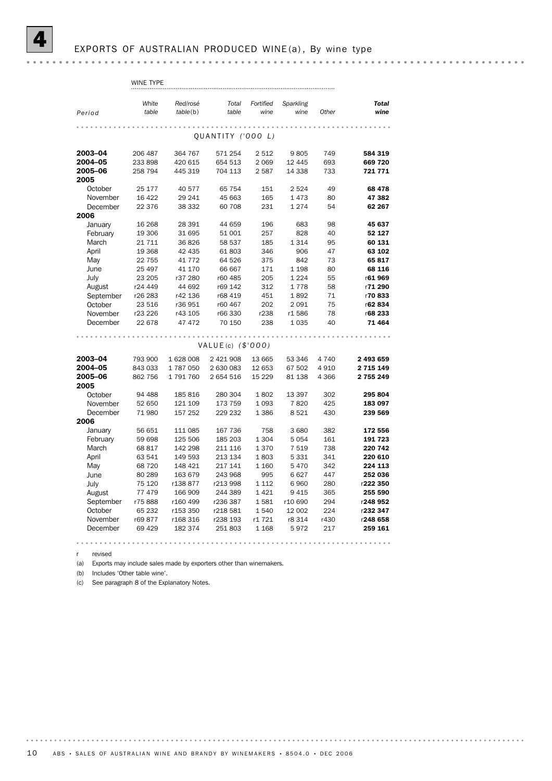|                 | WINE TYPE |           |                   |           |           |            |                    |
|-----------------|-----------|-----------|-------------------|-----------|-----------|------------|--------------------|
|                 |           |           |                   |           |           |            |                    |
|                 | White     | Red/rosé  | Total             | Fortified | Sparkling |            | <b>Total</b>       |
| Period          | table     | table(b)  | table             | wine      | wine      | Other      | wine               |
|                 |           |           |                   |           |           |            |                    |
|                 |           |           |                   |           |           |            |                    |
|                 |           |           | OUANTITY ('000 L) |           |           |            |                    |
|                 |           |           |                   |           |           |            |                    |
| 2003-04         | 206 487   | 364 767   | 571 254           | 2512      | 9805      | 749        | 584 319            |
| 2004-05         | 233 898   | 420 615   | 654 513           | 2 0 6 9   | 12 4 4 5  | 693<br>733 | 669 720<br>721 771 |
| 2005-06<br>2005 | 258 794   | 445 319   | 704 113           | 2587      | 14 3 38   |            |                    |
| October         | 25 177    | 40 577    | 65 754            | 151       | 2 5 2 4   | 49         | 68 478             |
| November        | 16 4 22   | 29 241    | 45 663            | 165       | 1473      | 80         | 47 382             |
| December        | 22 376    | 38 332    | 60 708            | 231       | 1 2 7 4   | 54         | 62 267             |
| 2006            |           |           |                   |           |           |            |                    |
| January         | 16 268    | 28 391    | 44 659            | 196       | 683       | 98         | 45 637             |
| February        | 19 306    | 31 695    | 51 001            | 257       | 828       | 40         | 52 127             |
| March           | 21 7 1 1  | 36826     | 58 537            | 185       | 1 3 1 4   | 95         | 60 131             |
| April           | 19 368    | 42 435    | 61 803            | 346       | 906       | 47         | 63 102             |
| May             | 22 755    | 41 7 7 2  | 64 526            | 375       | 842       | 73         | 65817              |
| June            | 25 497    | 41 170    | 66 667            | 171       | 1 1 9 8   | 80         | 68 116             |
| July            | 23 205    | r37 280   | r60 485           | 205       | 1 2 2 4   | 55         | r61969             |
| August          | r24 449   | 44 692    | r69 142           | 312       | 1778      | 58         | r71 290            |
| September       | r26 283   | r42 136   | r68 419           | 451       | 1892      | 71         | r70833             |
| October         | 23 516    | r36 951   | r60 467           | 202       | 2 0 9 1   | 75         | r62834             |
| November        | r23 226   | r43 105   | r66 330           | r238      | r1586     | 78         | r68 233            |
| December        | 22 678    | 47 472    | 70 150            | 238       | 1 0 3 5   | 40         | 71 464             |
|                 |           |           |                   |           |           |            |                    |
|                 |           |           |                   |           |           |            |                    |
|                 |           |           | VALUE(c) (\$'000) |           |           |            |                    |
| 2003-04         | 793 900   | 1 628 008 | 2 421 908         | 13 665    | 53 346    | 4 7 4 0    | 2 493 659          |
| 2004–05         | 843 033   | 1787050   | 2 630 083         | 12 653    | 67 502    | 4910       | 2 7 1 5 1 4 9      |
| 2005-06         | 862 756   | 1791760   | 2 654 516         | 15 2 29   | 81 138    | 4 3 6 6    | 2 755 249          |
| 2005            |           |           |                   |           |           |            |                    |
| October         | 94 488    | 185 816   | 280 304           | 1802      | 13 397    | 302        | 295 804            |
| November        | 52 650    | 121 109   | 173 759           | 1 0 9 3   | 7820      | 425        | 183 097            |
| December        | 71 980    | 157 252   | 229 232           | 1386      | 8521      | 430        | 239 569            |
| 2006            |           |           |                   |           |           |            |                    |
| January         | 56 651    | 111 085   | 167 736           | 758       | 3 6 8 0   | 382        | 172 556            |
| February        | 59 698    | 125 506   | 185 203           | 1 3 0 4   | 5 0 5 4   | 161        | 191 723            |
| March           | 68 817    | 142 298   | 211 116           | 1370      | 7 5 1 9   | 738        | 220 742            |
| April           | 63 541    | 149 593   | 213 134           | 1803      | 5 3 3 1   | 341        | 220 610            |
| May             | 68 720    | 148 421   | 217 141           | 1 1 6 0   | 5470      | 342        | 224 113            |
| June            | 80 289    | 163 679   | 243 968           | 995       | 6627      | 447        | 252 036            |
| July            | 75 120    | r138877   | r213 998          | 1 1 1 2   | 6960      | 280        | r222 350           |
| August          | 77 479    | 166 909   | 244 389           | 1421      | 9415      | 365        | 255 590            |
| September       | r75888    | r160 499  | r236 387          | 1581      | r10 690   | 294        | r248 952           |
| October         | 65 232    | r153 350  | r218 581          | 1540      | 12 002    | 224        | r232 347           |
| November        | r69877    | r168 316  | r238 193          | r1 721    | r8 314    | r430       | r248 658           |
| December        | 69 4 29   | 182 374   | 251 803           | 1 1 6 8   | 5972      | 217        | 259 161            |
|                 |           |           |                   |           |           |            |                    |

r revised

(a) Exports may include sales made by exporters other than winemakers.

(b) Includes 'Other table wine'.

(c) See paragraph 8 of the Explanatory Notes.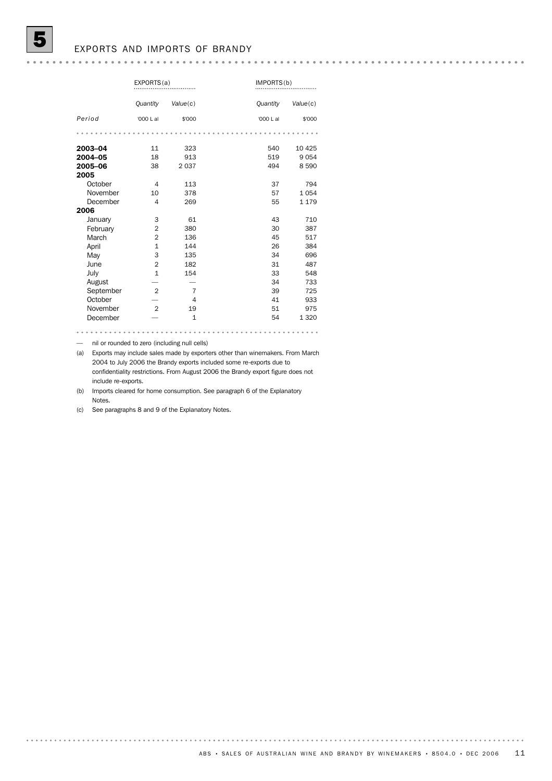### EXPORTS AND IMPORTS OF BRANDY

|           | EXPORTS(a)     |                | IMPORTS(b) |          |
|-----------|----------------|----------------|------------|----------|
|           | Quantity       | Value(c)       | Quantity   | Value(c) |
| Period    | '000 L al      | \$'000         | '000 L al  | \$'000   |
|           |                |                |            |          |
| 2003-04   | 11             | 323            | 540        | 10 4 25  |
| 2004-05   | 18             | 913            | 519        | 9054     |
| 2005-06   | 38             | 2 0 3 7        | 494        | 8590     |
| 2005      |                |                |            |          |
| October   | 4              | 113            | 37         | 794      |
| November  | 10             | 378            | 57         | 1054     |
| December  | 4              | 269            | 55         | 1 1 7 9  |
| 2006      |                |                |            |          |
| January   | 3              | 61             | 43         | 710      |
| February  | $\overline{2}$ | 380            | 30         | 387      |
| March     | $\overline{2}$ | 136            | 45         | 517      |
| April     | $\mathbf{1}$   | 144            | 26         | 384      |
| May       | 3              | 135            | 34         | 696      |
| June      | $\overline{2}$ | 182            | 31         | 487      |
| July      | $\mathbf{1}$   | 154            | 33         | 548      |
| August    |                |                | 34         | 733      |
| September | $\overline{2}$ | 7              | 39         | 725      |
| October   |                | $\overline{4}$ | 41         | 933      |
| November  | $\overline{2}$ | 19             | 51         | 975      |
| December  |                | $\mathbf{1}$   | 54         | 1 3 2 0  |

- nil or rounded to zero (including null cells)

(a) Exports may include sales made by exporters other than winemakers. From March 2004 to July 2006 the Brandy exports included some re-exports due to confidentiality restrictions. From August 2006 the Brandy export figure does not include re-exports.

(b) Imports cleared for home consumption. See paragraph 6 of the Explanatory Notes.

(c) See paragraphs 8 and 9 of the Explanatory Notes.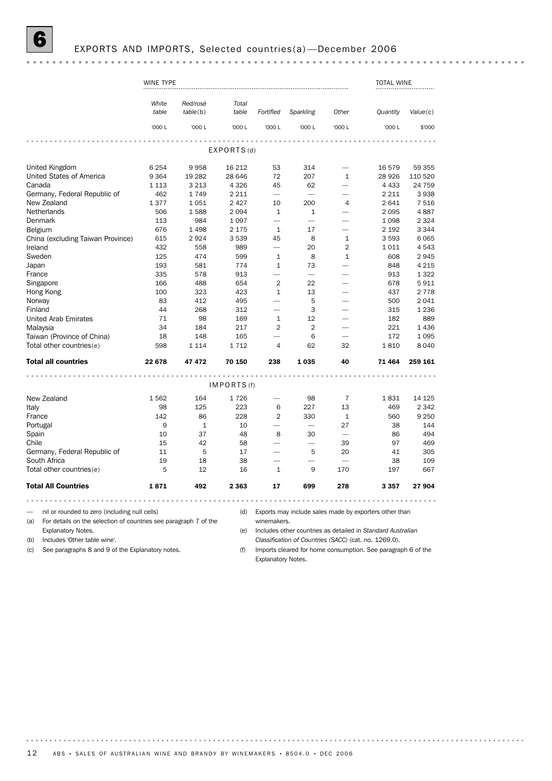# 6 EXPORTS AND IMPORTS, Selected countries(a) —December 2006

|                                                                         | WINE TYPE |              |                 |                          |                                                       |                          | <b>TOTAL WINE</b>                                           |          |
|-------------------------------------------------------------------------|-----------|--------------|-----------------|--------------------------|-------------------------------------------------------|--------------------------|-------------------------------------------------------------|----------|
|                                                                         | White     | Red/rosé     | Total           |                          |                                                       |                          |                                                             |          |
|                                                                         | table     | table(b)     | table           | Fortified                | Sparkling                                             | Other                    | Quantity                                                    | Value(c) |
|                                                                         | '000 L    | '000 L       | '000 L          | '000 L                   | '000 L                                                | '000 L                   | '000 L                                                      | \$'000   |
|                                                                         |           |              | .<br>EXPORTS(d) | .                        | .                                                     |                          |                                                             |          |
| United Kingdom                                                          | 6 2 5 4   | 9958         | 16 212          | 53                       | 314                                                   |                          | 16579                                                       | 59 355   |
| United States of America                                                | 9 3 6 4   | 19 282       | 28 646          | 72                       | 207                                                   | $\mathbf{1}$             | 28 9 26                                                     | 110 520  |
| Canada                                                                  | 1 1 1 3   | 3 2 1 3      | 4 3 2 6         | 45                       | 62                                                    | $\overline{\phantom{0}}$ | 4 4 3 3                                                     | 24 759   |
| Germany, Federal Republic of                                            | 462       | 1749         | 2 2 1 1         | $\overline{\phantom{0}}$ |                                                       |                          | 2 2 1 1                                                     | 3938     |
| New Zealand                                                             | 1377      | 1051         | 2 4 2 7         | 10                       | 200                                                   | 4                        | 2641                                                        | 7 5 1 6  |
| Netherlands                                                             | 506       | 1588         | 2094            | $\mathbf{1}$             | $\mathbf{1}$                                          |                          | 2095                                                        | 4887     |
| Denmark                                                                 | 113       | 984          | 1 0 9 7         | $\overline{\phantom{0}}$ |                                                       |                          | 1098                                                        | 2 3 2 4  |
| Belgium                                                                 | 676       | 1 4 9 8      | 2 1 7 5         | $\mathbf{1}$             | 17                                                    | $\overline{\phantom{0}}$ | 2 1 9 2                                                     | 3 3 4 4  |
| China (excluding Taiwan Province)                                       | 615       | 2924         | 3 5 3 9         | 45                       | 8                                                     | $\mathbf{1}$             | 3593                                                        | 6 0 6 5  |
| Ireland                                                                 | 432       | 558          | 989             | $\overline{\phantom{0}}$ | 20                                                    | $\overline{2}$           | 1011                                                        | 4 5 4 3  |
| Sweden                                                                  | 125       | 474          | 599             | $\mathbf{1}$             | 8                                                     | $\mathbf{1}$             | 608                                                         | 2945     |
| Japan                                                                   | 193       | 581          | 774             | $\mathbf{1}$             | 73                                                    |                          | 848                                                         | 4 2 1 5  |
| France                                                                  | 335       | 578          | 913             | $\overline{\phantom{0}}$ | $\overline{\phantom{0}}$                              |                          | 913                                                         | 1 3 2 2  |
| Singapore                                                               | 166       | 488          | 654             | 2                        | 22                                                    |                          | 678                                                         | 5911     |
| Hong Kong                                                               | 100       | 323          | 423             | $\mathbf{1}$             | 13                                                    | $\overline{\phantom{0}}$ | 437                                                         | 2 7 7 8  |
| Norway                                                                  | 83        | 412          | 495             |                          | 5                                                     |                          | 500                                                         | 2 0 4 1  |
| Finland                                                                 | 44        | 268          | 312             | $\overline{\phantom{0}}$ | 3                                                     |                          | 315                                                         | 1 2 3 6  |
| <b>United Arab Emirates</b>                                             | 71        | 98           | 169             | $\mathbf{1}$             | 12                                                    |                          | 182                                                         | 889      |
| Malaysia                                                                | 34        | 184          | 217             | 2                        | $\overline{2}$                                        |                          | 221                                                         | 1 4 3 6  |
| Taiwan (Province of China)                                              | 18        | 148          | 165             |                          | 6                                                     |                          | 172                                                         | 1 0 9 5  |
| Total other countries(e)                                                | 598       | 1 1 1 4      | 1712            | 4                        | 62                                                    | 32                       | 1810                                                        | 8 0 4 0  |
|                                                                         |           |              |                 |                          |                                                       |                          |                                                             |          |
| <b>Total all countries</b>                                              | 22 678    | 47 472       | 70 150          | 238                      | 1035                                                  | 40                       | 71 464                                                      | 259 161  |
|                                                                         |           |              | IMPORTS (f)     |                          |                                                       |                          |                                                             |          |
| New Zealand                                                             | 1562      | 164          | 1726            |                          | 98                                                    | $\overline{7}$           | 1831                                                        | 14 1 25  |
| Italy                                                                   | 98        | 125          | 223             | 6                        | 227                                                   | 13                       | 469                                                         | 2 3 4 2  |
| France                                                                  | 142       | 86           | 228             | 2                        | 330                                                   | 1                        | 560                                                         | 9 2 5 0  |
| Portugal                                                                | 9         | $\mathbf{1}$ | 10              |                          |                                                       | 27                       | 38                                                          | 144      |
| Spain                                                                   | 10        | 37           | 48              | 8                        | 30                                                    | $\overline{\phantom{0}}$ | 86                                                          | 494      |
| Chile                                                                   | 15        | 42           | 58              |                          | ÷.                                                    | 39                       | 97                                                          | 469      |
| Germany, Federal Republic of                                            | 11        | 5            | 17              | $\overline{\phantom{0}}$ | 5                                                     | 20                       | 41                                                          | 305      |
| South Africa                                                            | 19        | 18           | 38              |                          |                                                       |                          | 38                                                          | 109      |
| Total other countries(e)                                                | 5         | 12           | 16              | $\mathbf{1}$             | 9                                                     | 170                      | 197                                                         | 667      |
| <b>Total All Countries</b>                                              | 1871      | 492          | 2 3 6 3         | 17                       | 699                                                   | 278                      | 3 3 5 7                                                     | 27 904   |
|                                                                         |           |              |                 |                          | .                                                     |                          |                                                             |          |
| nil or rounded to zero (including null cells)                           |           |              | (d)             |                          |                                                       |                          | Exports may include sales made by exporters other than      |          |
| For details on the selection of countries see paragraph 7 of the<br>(a) |           |              |                 | winemakers.              |                                                       |                          |                                                             |          |
| <b>Explanatory Notes.</b>                                               |           |              | (e)             |                          |                                                       |                          | Includes other countries as detailed in Standard Australian |          |
| Includes 'Other table wine'.<br>(b)                                     |           |              |                 |                          | Classification of Countries (SACC) (cat. no. 1269.0). |                          |                                                             |          |

(c) See paragraphs 8 and 9 of the Explanatory notes.

(f) Imports cleared for home consumption. See paragraph 6 of the Explanatory Notes.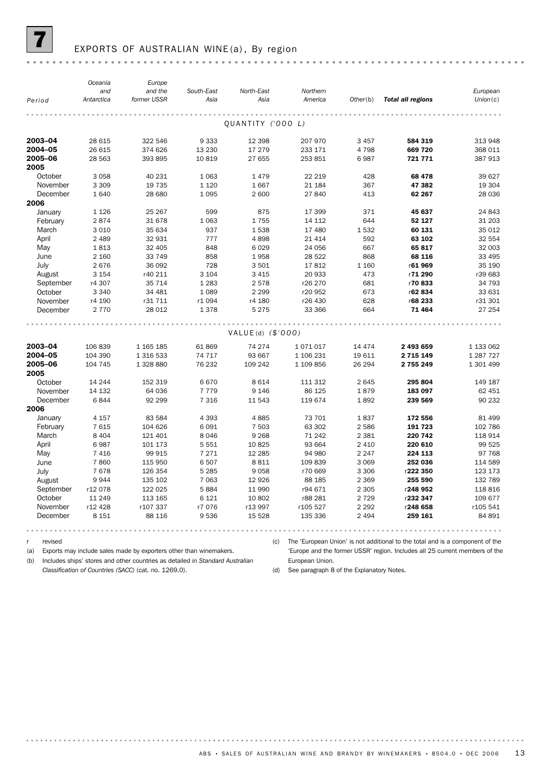

# EXPORTS OF AUSTRALIAN WINE (a), By region

|                 | Oceania    | Europe      |            |                     |           |          |                          |            |
|-----------------|------------|-------------|------------|---------------------|-----------|----------|--------------------------|------------|
|                 | and        | and the     | South-East | North-East          | Northern  |          |                          | European   |
| Period          | Antarctica | former USSR | Asia       | Asia                | America   | Other(b) | <b>Total all regions</b> | Union(c)   |
|                 |            |             |            |                     |           |          |                          |            |
|                 |            |             |            | QUANTITY ('000 L)   |           |          |                          |            |
| 2003-04         | 28 615     | 322 546     | 9333       | 12 3 98             | 207 970   | 3 4 5 7  | 584 319                  | 313 948    |
| 2004-05         | 26 615     | 374 626     | 13 2 30    | 17 279              | 233 171   | 4 7 9 8  | 669 720                  | 368 011    |
| 2005-06         | 28 563     | 393 895     | 10819      | 27 655              | 253 851   | 6987     | 721 771                  | 387 913    |
| 2005            |            |             |            |                     |           |          |                          |            |
| October         | 3 0 5 8    | 40 231      | 1 0 6 3    | 1479                | 22 219    | 428      | 68 478                   | 39 627     |
| November        | 3 3 0 9    | 19 7 35     | 1 1 2 0    | 1667                | 21 184    | 367      | 47 382                   | 19 304     |
| December        | 1 6 4 0    | 28 680      | 1095       | 2 600               | 27 840    | 413      | 62 267                   | 28 036     |
| 2006            |            |             |            |                     |           |          |                          |            |
| January         | 1 1 2 6    | 25 267      | 599        | 875                 | 17 399    | 371      | 45 637                   | 24 843     |
| February        | 2874       | 31 678      | 1 0 6 3    | 1755                | 14 112    | 644      | 52 127                   | 31 203     |
| March           | 3 0 1 0    | 35 634      | 937        | 1538                | 17 480    | 1532     | 60 131                   | 35 012     |
| April           | 2 4 8 9    | 32 931      | 777        | 4898                | 21 4 14   | 592      | 63 102                   | 32 554     |
| May             | 1813       | 32 405      | 848        | 6029                | 24 056    | 667      | 65817                    | 32 003     |
| June            | 2 160      | 33 749      | 858        | 1958                | 28 5 22   | 868      | 68 116                   | 33 495     |
| July            | 2676       | 36 092      | 728        | 3501                | 17812     | 1 1 6 0  | r61969                   | 35 190     |
| August          | 3 1 5 4    | r40 211     | 3 1 0 4    | 3 4 1 5             | 20 933    | 473      | r71 290                  | r39 683    |
| September       | r4 307     | 35 7 14     | 1 2 8 3    | 2578                | r26 270   | 681      | r70833                   | 34 793     |
| October         | 3 3 4 0    | 34 481      | 1 0 8 9    | 2 2 9 9             | r20 952   | 673      | r62834                   | 33 631     |
| November        | r4 190     | r31 711     | r1 094     | r4 180              | r26 430   | 628      | r68 233                  | r31 301    |
| December        | 2 7 7 0    | 28 012      | 1378       | 5 2 7 5             | 33 366    | 664      | 71 4 64                  | 27 254     |
|                 |            |             |            |                     |           |          |                          |            |
|                 |            |             |            | $VALUE(d)$ (\$'000) |           |          |                          |            |
| 2003-04         | 106839     | 1 165 185   | 61869      | 74 274              | 1071017   | 14 474   | 2 493 659                | 1 133 062  |
| 2004-05         | 104 390    | 1 316 533   | 74 717     | 93 667              | 1 106 231 | 19 611   | 2 715 149                | 1 287 7 27 |
| 2005-06<br>2005 | 104 745    | 1 328 880   | 76 232     | 109 242             | 1 109 856 | 26 294   | 2 755 249                | 1 301 499  |
| October         | 14 244     | 152 319     | 6670       | 8614                | 111 312   | 2645     | 295 804                  | 149 187    |
| November        | 14 132     | 64 036      | 7779       | 9 1 4 6             | 86 125    | 1879     | 183 097                  | 62 451     |
| December        | 6844       | 92 299      | 7 3 1 6    | 11 543              | 119674    | 1892     | 239 569                  | 90 232     |
| 2006            |            |             |            |                     |           |          |                          |            |
| January         | 4 157      | 83 5 84     | 4 3 9 3    | 4885                | 73 701    | 1837     | 172 556                  | 81 499     |
| February        | 7615       | 104 626     | 6091       | 7 503               | 63 302    | 2 5 8 6  | 191 723                  | 102 786    |
| March           | 8 4 0 4    | 121 401     | 8046       | 9 2 6 8             | 71 242    | 2 3 8 1  | 220 742                  | 118 914    |
| April           | 6987       | 101 173     | 5 5 5 1    | 10825               | 93 664    | 2 4 1 0  | 220 610                  | 99 525     |
| May             | 7 4 1 6    | 99 915      | 7 2 7 1    | 12 2 85             | 94 980    | 2 2 4 7  | 224 113                  | 97 768     |
| June            | 7860       | 115 950     | 6507       | 8811                | 109839    | 3 0 6 9  | 252 036                  | 114 589    |
| July            | 7678       | 126 354     | 5 2 8 5    | 9058                | r70 669   | 3 3 0 6  | r222 350                 | 123 173    |
| August          | 9944       | 135 102     | 7 0 6 3    | 12 9 26             | 88 185    | 2 3 6 9  | 255 590                  | 132 789    |
| September       | r12078     | 122 025     | 5884       | 11 990              | r94 671   | 2 3 0 5  | r248 952                 | 118 816    |
| October         | 11 249     | 113 165     | 6 1 2 1    | 10 802              | r88 281   | 2 7 2 9  | r232 347                 | 109 677    |
| November        | r12 428    | r107 337    | r7 076     | r13 997             | r105 527  | 2 2 9 2  | r248 658                 | r105 541   |
| December        | 8 1 5 1    | 88 116      | 9536       | 15 5 28             | 135 336   | 2 4 9 4  | 259 161                  | 84 891     |
|                 |            |             |            |                     |           |          |                          |            |

r revised

(a) Exports may include sales made by exporters other than winemakers.

(c) The 'European Union' is not additional to the total and is a component of the

(b) Includes ships' stores and other countries as detailed in *Standard Australian*

*Classification of Countries (SACC)* (cat. no. 1269.0).

'Europe and the former USSR' region. Includes all 25 current members of the European Union.

(d) See paragraph 8 of the Explanatory Notes.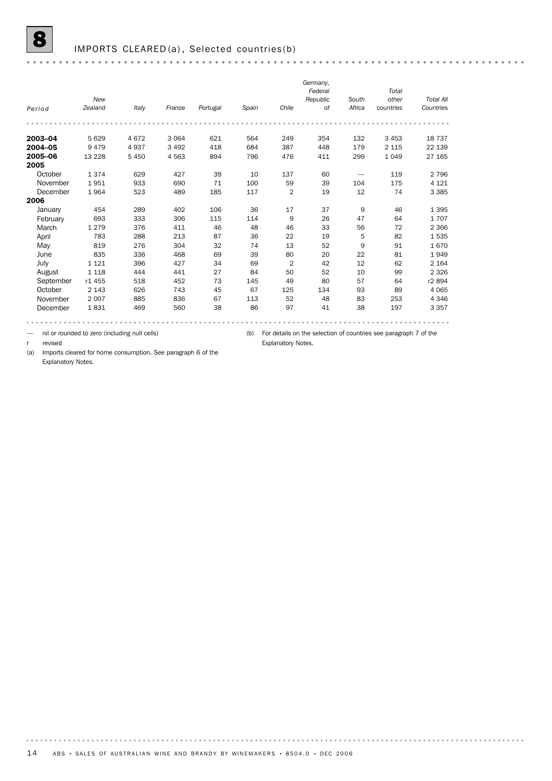|           |         |         |         |          |       |                | Germany, |        |           |                  |
|-----------|---------|---------|---------|----------|-------|----------------|----------|--------|-----------|------------------|
|           |         |         |         |          |       |                | Federal  |        | Total     |                  |
|           | New     |         |         |          |       |                | Republic | South  | other     | <b>Total All</b> |
| Period    | Zealand | Italy   | France  | Portugal | Spain | Chile          | 0f       | Africa | countries | Countries        |
|           |         |         |         |          |       |                |          |        |           |                  |
| 2003-04   | 5629    | 4672    | 3 0 6 4 | 621      | 564   | 249            | 354      | 132    | 3 4 5 3   | 18 7 37          |
| 2004-05   | 9479    | 4937    | 3 4 9 2 | 418      | 684   | 387            | 448      | 179    | 2 1 1 5   | 22 139           |
| 2005-06   | 13 2 28 | 5 4 5 0 | 4563    | 894      | 796   | 476            | 411      | 299    | 1049      | 27 165           |
| 2005      |         |         |         |          |       |                |          |        |           |                  |
| October   | 1374    | 629     | 427     | 39       | 10    | 137            | 60       |        | 119       | 2 7 9 6          |
| November  | 1951    | 933     | 690     | 71       | 100   | 59             | 39       | 104    | 175       | 4 1 2 1          |
| December  | 1964    | 523     | 489     | 185      | 117   | $\overline{2}$ | 19       | 12     | 74        | 3 3 8 5          |
| 2006      |         |         |         |          |       |                |          |        |           |                  |
| January   | 454     | 289     | 402     | 106      | 36    | 17             | 37       | 9      | 46        | 1 3 9 5          |
| February  | 693     | 333     | 306     | 115      | 114   | 9              | 26       | 47     | 64        | 1707             |
| March     | 1 2 7 9 | 376     | 411     | 46       | 48    | 46             | 33       | 56     | 72        | 2 3 6 6          |
| April     | 783     | 288     | 213     | 87       | 36    | 22             | 19       | 5      | 82        | 1535             |
| May       | 819     | 276     | 304     | 32       | 74    | 13             | 52       | 9      | 91        | 1670             |
| June      | 835     | 336     | 468     | 69       | 39    | 80             | 20       | 22     | 81        | 1949             |
| July      | 1 1 2 1 | 396     | 427     | 34       | 69    | $\overline{2}$ | 42       | 12     | 62        | 2 1 6 4          |
| August    | 1 1 1 8 | 444     | 441     | 27       | 84    | 50             | 52       | 10     | 99        | 2 3 2 6          |
| September | r1 455  | 518     | 452     | 73       | 145   | 49             | 80       | 57     | 64        | r2 894           |
| October   | 2 1 4 3 | 626     | 743     | 45       | 67    | 125            | 134      | 93     | 89        | 4 0 6 5          |
| November  | 2 0 0 7 | 885     | 836     | 67       | 113   | 52             | 48       | 83     | 253       | 4 3 4 6          |
| December  | 1831    | 469     | 560     | 38       | 86    | 97             | 41       | 38     | 197       | 3 3 5 7          |

— nil or rounded to zero (including null cells)

(b) For details on the selection of countries see paragraph 7 of the

Explanatory Notes.

r revised

. . . . . . . .

(a) Imports cleared for home consumption. See paragraph 6 of the Explanatory Notes.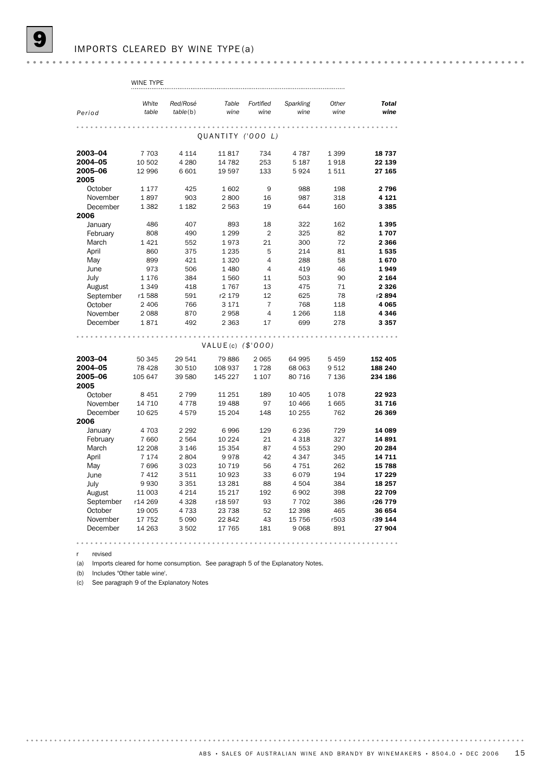|                      | White             | Red/Rosé           | Table              | Fortified      | Sparkling       | Other      | <b>Total</b>      |
|----------------------|-------------------|--------------------|--------------------|----------------|-----------------|------------|-------------------|
| Period               | table             | table(b)           | wine               | wine           | wine            | wine       | wine              |
|                      |                   |                    |                    |                |                 |            |                   |
|                      |                   |                    | QUANTITY ('000 L)  |                |                 |            |                   |
|                      |                   |                    |                    |                |                 |            |                   |
| 2003-04              | 7 7 0 3           | 4 1 1 4            | 11817              | 734            | 4787            | 1 3 9 9    | 18737             |
| 2004-05              | 10 502            | 4 2 8 0            | 14 782             | 253            | 5 1 8 7         | 1918       | 22 139            |
| 2005-06              | 12 996            | 6 601              | 19 5 97            | 133            | 5924            | 1511       | 27 165            |
| 2005                 |                   |                    |                    |                |                 |            |                   |
| October              | 1 1 7 7           | 425                | 1602               | 9              | 988             | 198        | 2796              |
| November             | 1897              | 903                | 2800               | 16             | 987             | 318        | 4 1 2 1           |
| December             | 1 3 8 2           | 1 1 8 2            | 2 5 6 3            | 19             | 644             | 160        | 3 3 8 5           |
| 2006                 |                   |                    |                    |                |                 |            |                   |
| January              | 486               | 407                | 893                | 18             | 322             | 162        | 1395              |
| February             | 808               | 490                | 1 2 9 9            | $\overline{2}$ | 325             | 82         | 1707              |
| March                | 1421              | 552                | 1973               | 21             | 300             | 72         | 2 3 6 6           |
| April                | 860               | 375                | 1 2 3 5            | 5              | 214             | 81         | 1535              |
| May                  | 899               | 421                | 1 3 2 0            | $\overline{4}$ | 288             | 58         | 1670              |
| June                 | 973               | 506                | 1 4 8 0            | $\overline{4}$ | 419             | 46         | 1949              |
| July                 | 1 1 7 6           | 384                | 1560               | 11             | 503             | 90         | 2 1 6 4           |
| August               | 1 3 4 9           | 418                | 1767               | 13             | 475             | 71         | 2 3 2 6           |
| September            | r1588             | 591                | r2 179             | 12             | 625             | 78         | r2894             |
| October              | 2 4 0 6           | 766                | 3 17 1             | $\overline{7}$ | 768             | 118        | 4 0 6 5           |
| November             | 2088              | 870                | 2958               | $\overline{4}$ | 1 2 6 6         | 118        | 4 3 4 6           |
| December             | 1871              | 492                | 2 3 6 3            | 17             | 699             | 278        | 3 3 5 7           |
|                      |                   |                    |                    |                |                 |            |                   |
|                      |                   |                    | VALUE(c) (\$'000)  |                |                 |            |                   |
|                      |                   |                    |                    |                |                 |            |                   |
| 2003-04              | 50 345            | 29 541             | 79 886             | 2 0 6 5        | 64 995          | 5459       | 152 405           |
| 2004-05              | 78 4 28           | 30 510             | 108 937            | 1728           | 68 063          | 9512       | 188 240           |
| 2005-06              | 105 647           | 39 580             | 145 227            | 1 1 0 7        | 80 716          | 7 1 3 6    | 234 186           |
| 2005                 |                   |                    |                    |                |                 |            |                   |
| October              | 8 4 5 1           | 2799               | 11 251             | 189            | 10 40 5         | 1078       | 22923             |
| November             | 14 7 10           | 4 7 7 8            | 19 488             | 97             | 10 466          | 1665       | 31716             |
| December             | 10 625            | 4579               | 15 204             | 148            | 10 255          | 762        | 26 369            |
| 2006                 |                   |                    |                    |                |                 |            |                   |
| January              | 4 703             | 2 2 9 2<br>2 5 6 4 | 6996               | 129            | 6 2 3 6         | 729        | 14 089<br>14891   |
| February<br>March    | 7 6 6 0           |                    | 10 2 24<br>15 3 54 | 21             | 4 3 1 8<br>4553 | 327<br>290 | 20 284            |
|                      | 12 208<br>7 1 7 4 | 3 1 4 6<br>2804    | 9978               | 87<br>42       | 4 3 4 7         | 345        | 14 711            |
| April                | 7696              | 3 0 2 3            | 10 7 19            | 56             | 4 7 5 1         | 262        | 15 788            |
| May                  |                   |                    |                    |                |                 | 194        | 17 229            |
| June                 | 7 4 1 2<br>9930   | 3511<br>3 3 5 1    | 10 923<br>13 2 8 1 | 33<br>88       | 6079<br>4 5 0 4 | 384        | 18 257            |
| July<br>August       | 11 003            | 4 2 1 4            | 15 217             | 192            | 6 9 0 2         | 398        | 22 709            |
|                      |                   | 4 3 2 8            |                    | 93             |                 |            |                   |
| September<br>October | r14 269<br>19 005 | 4 7 3 3            | r18 597<br>23 738  | 52             | 7 702<br>12 398 | 386<br>465 | r26 779<br>36 654 |
| November             | 17 752            | 5 0 9 0            | 22 842             | 43             | 15 756          | r503       | r39 144           |
| December             | 14 263            | 3502               | 17 765             | 181            | 9 0 68          | 891        | 27 904            |
|                      |                   |                    |                    |                |                 |            |                   |
|                      |                   |                    |                    |                |                 |            |                   |

WINE TYPE

r revised

(a) Imports cleared for home consumption. See paragraph 5 of the Explanatory Notes.

(b) Includes "Other table wine'.

(c) See paragraph 9 of the Explanatory Notes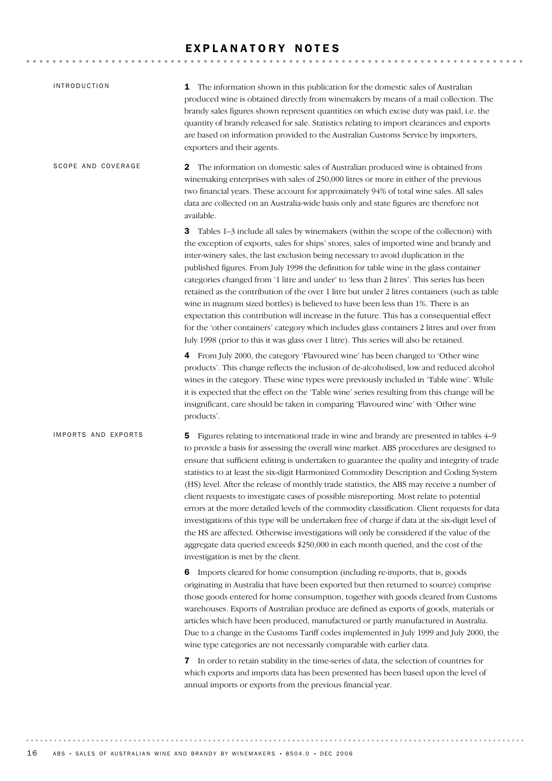# EXPLANATORY NOTES

| <b>INTRODUCTION</b> | 1 The information shown in this publication for the domestic sales of Australian<br>produced wine is obtained directly from winemakers by means of a mail collection. The<br>brandy sales figures shown represent quantities on which excise duty was paid, i.e. the<br>quantity of brandy released for sale. Statistics relating to import clearances and exports<br>are based on information provided to the Australian Customs Service by importers,<br>exporters and their agents.                                                                                                                                                                                                                                                                                                                                                                                                                                                                                                                     |
|---------------------|------------------------------------------------------------------------------------------------------------------------------------------------------------------------------------------------------------------------------------------------------------------------------------------------------------------------------------------------------------------------------------------------------------------------------------------------------------------------------------------------------------------------------------------------------------------------------------------------------------------------------------------------------------------------------------------------------------------------------------------------------------------------------------------------------------------------------------------------------------------------------------------------------------------------------------------------------------------------------------------------------------|
| SCOPE AND COVERAGE  | $\mathbf 2$<br>The information on domestic sales of Australian produced wine is obtained from<br>winemaking enterprises with sales of 250,000 litres or more in either of the previous<br>two financial years. These account for approximately 94% of total wine sales. All sales<br>data are collected on an Australia-wide basis only and state figures are therefore not<br>available.                                                                                                                                                                                                                                                                                                                                                                                                                                                                                                                                                                                                                  |
|                     | 3<br>Tables 1-3 include all sales by winemakers (within the scope of the collection) with<br>the exception of exports, sales for ships' stores, sales of imported wine and brandy and<br>inter-winery sales, the last exclusion being necessary to avoid duplication in the<br>published figures. From July 1998 the definition for table wine in the glass container<br>categories changed from '1 litre and under' to 'less than 2 litres'. This series has been<br>retained as the contribution of the over 1 litre but under 2 litres containers (such as table<br>wine in magnum sized bottles) is believed to have been less than 1%. There is an<br>expectation this contribution will increase in the future. This has a consequential effect<br>for the 'other containers' category which includes glass containers 2 litres and over from<br>July 1998 (prior to this it was glass over 1 litre). This series will also be retained.                                                             |
|                     | 4 From July 2000, the category 'Flavoured wine' has been changed to 'Other wine<br>products'. This change reflects the inclusion of de-alcoholised, low and reduced alcohol<br>wines in the category. These wine types were previously included in 'Table wine'. While<br>it is expected that the effect on the 'Table wine' series resulting from this change will be<br>insignificant, care should be taken in comparing 'Flavoured wine' with 'Other wine<br>products'.                                                                                                                                                                                                                                                                                                                                                                                                                                                                                                                                 |
| IMPORTS AND EXPORTS | Figures relating to international trade in wine and brandy are presented in tables 4–9<br>5.<br>to provide a basis for assessing the overall wine market. ABS procedures are designed to<br>ensure that sufficient editing is undertaken to guarantee the quality and integrity of trade<br>statistics to at least the six-digit Harmonized Commodity Description and Coding System<br>(HS) level. After the release of monthly trade statistics, the ABS may receive a number of<br>client requests to investigate cases of possible misreporting. Most relate to potential<br>errors at the more detailed levels of the commodity classification. Client requests for data<br>investigations of this type will be undertaken free of charge if data at the six-digit level of<br>the HS are affected. Otherwise investigations will only be considered if the value of the<br>aggregate data queried exceeds \$250,000 in each month queried, and the cost of the<br>investigation is met by the client. |
|                     | 6 Imports cleared for home consumption (including re-imports, that is, goods<br>originating in Australia that have been exported but then returned to source) comprise<br>those goods entered for home consumption, together with goods cleared from Customs<br>warehouses. Exports of Australian produce are defined as exports of goods, materials or<br>articles which have been produced, manufactured or partly manufactured in Australia.<br>Due to a change in the Customs Tariff codes implemented in July 1999 and July 2000, the<br>wine type categories are not necessarily comparable with earlier data.                                                                                                                                                                                                                                                                                                                                                                                       |
|                     | 7 In order to retain stability in the time-series of data, the selection of countries for<br>which exports and imports data has been presented has been based upon the level of<br>annual imports or exports from the previous financial year.                                                                                                                                                                                                                                                                                                                                                                                                                                                                                                                                                                                                                                                                                                                                                             |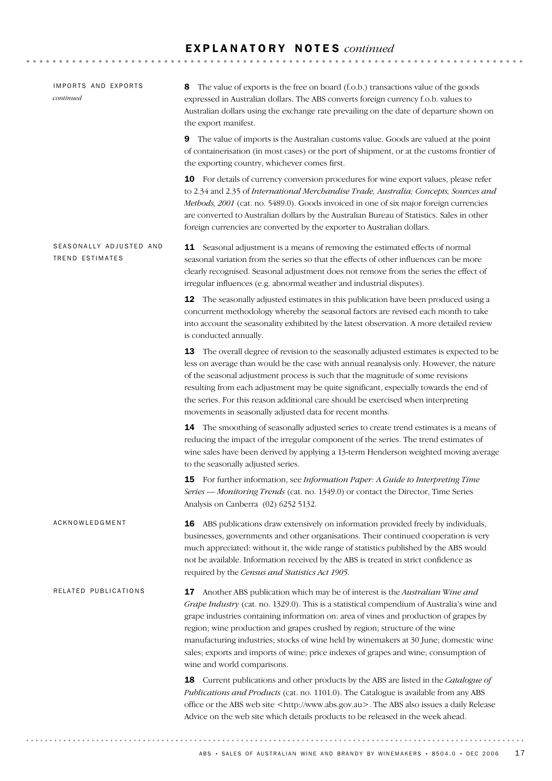# E X P L A N A T O R Y N O T E S *continued*

| IMPORTS AND EXPORTS<br>continued                  | The value of exports is the free on board (f.o.b.) transactions value of the goods<br>8<br>expressed in Australian dollars. The ABS converts foreign currency f.o.b. values to<br>Australian dollars using the exchange rate prevailing on the date of departure shown on<br>the export manifest.                                                                                                                                                                                                                                                                    |
|---------------------------------------------------|----------------------------------------------------------------------------------------------------------------------------------------------------------------------------------------------------------------------------------------------------------------------------------------------------------------------------------------------------------------------------------------------------------------------------------------------------------------------------------------------------------------------------------------------------------------------|
|                                                   | The value of imports is the Australian customs value. Goods are valued at the point<br>9<br>of containerisation (in most cases) or the port of shipment, or at the customs frontier of<br>the exporting country, whichever comes first.                                                                                                                                                                                                                                                                                                                              |
|                                                   | 10 For details of currency conversion procedures for wine export values, please refer<br>to 2.34 and 2.35 of International Merchandise Trade, Australia; Concepts, Sources and<br>Methods, 2001 (cat. no. 5489.0). Goods invoiced in one of six major foreign currencies<br>are converted to Australian dollars by the Australian Bureau of Statistics. Sales in other<br>foreign currencies are converted by the exporter to Australian dollars.                                                                                                                    |
| SEASONALLY ADJUSTED AND<br><b>TREND ESTIMATES</b> | <b>11</b> Seasonal adjustment is a means of removing the estimated effects of normal<br>seasonal variation from the series so that the effects of other influences can be more<br>clearly recognised. Seasonal adjustment does not remove from the series the effect of<br>irregular influences (e.g. abnormal weather and industrial disputes).                                                                                                                                                                                                                     |
|                                                   | <b>12</b> The seasonally adjusted estimates in this publication have been produced using a<br>concurrent methodology whereby the seasonal factors are revised each month to take<br>into account the seasonality exhibited by the latest observation. A more detailed review<br>is conducted annually.                                                                                                                                                                                                                                                               |
|                                                   | 13 The overall degree of revision to the seasonally adjusted estimates is expected to be<br>less on average than would be the case with annual reanalysis only. However, the nature<br>of the seasonal adjustment process is such that the magnitude of some revisions<br>resulting from each adjustment may be quite significant, especially towards the end of<br>the series. For this reason additional care should be exercised when interpreting<br>movements in seasonally adjusted data for recent months.                                                    |
|                                                   | 14 The smoothing of seasonally adjusted series to create trend estimates is a means of<br>reducing the impact of the irregular component of the series. The trend estimates of<br>wine sales have been derived by applying a 13-term Henderson weighted moving average<br>to the seasonally adjusted series.                                                                                                                                                                                                                                                         |
|                                                   | 15 For further information, see Information Paper: A Guide to Interpreting Time<br>Series — Monitoring Trends (cat. no. 1349.0) or contact the Director, Time Series<br>Analysis on Canberra (02) 6252 5132.                                                                                                                                                                                                                                                                                                                                                         |
| ACKNOWLEDGMENT                                    | <b>16</b> ABS publications draw extensively on information provided freely by individuals,<br>businesses, governments and other organisations. Their continued cooperation is very<br>much appreciated: without it, the wide range of statistics published by the ABS would<br>not be available. Information received by the ABS is treated in strict confidence as<br>required by the Census and Statistics Act 1905.                                                                                                                                               |
| RELATED PUBLICATIONS                              | 17 Another ABS publication which may be of interest is the Australian Wine and<br>Grape Industry (cat. no. 1329.0). This is a statistical compendium of Australia's wine and<br>grape industries containing information on: area of vines and production of grapes by<br>region; wine production and grapes crushed by region; structure of the wine<br>manufacturing industries; stocks of wine held by winemakers at 30 June; domestic wine<br>sales; exports and imports of wine; price indexes of grapes and wine; consumption of<br>wine and world comparisons. |
|                                                   | 18 Current publications and other products by the ABS are listed in the Catalogue of<br>Publications and Products (cat. no. 1101.0). The Catalogue is available from any ABS<br>office or the ABS web site <http: www.abs.gov.au="">. The ABS also issues a daily Release<br/>Advice on the web site which details products to be released in the week ahead.</http:>                                                                                                                                                                                                |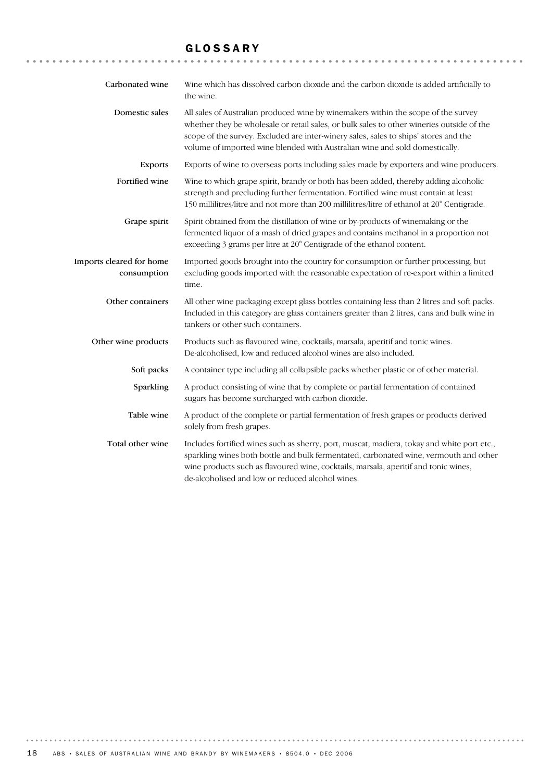### GLOSSARY

| Carbonated wine                         | Wine which has dissolved carbon dioxide and the carbon dioxide is added artificially to<br>the wine.                                                                                                                                                                                                                                                   |
|-----------------------------------------|--------------------------------------------------------------------------------------------------------------------------------------------------------------------------------------------------------------------------------------------------------------------------------------------------------------------------------------------------------|
| Domestic sales                          | All sales of Australian produced wine by winemakers within the scope of the survey<br>whether they be wholesale or retail sales, or bulk sales to other wineries outside of the<br>scope of the survey. Excluded are inter-winery sales, sales to ships' stores and the<br>volume of imported wine blended with Australian wine and sold domestically. |
| <b>Exports</b>                          | Exports of wine to overseas ports including sales made by exporters and wine producers.                                                                                                                                                                                                                                                                |
| Fortified wine                          | Wine to which grape spirit, brandy or both has been added, thereby adding alcoholic<br>strength and precluding further fermentation. Fortified wine must contain at least<br>150 millilitres/litre and not more than 200 millilitres/litre of ethanol at 20° Centigrade.                                                                               |
| Grape spirit                            | Spirit obtained from the distillation of wine or by-products of winemaking or the<br>fermented liquor of a mash of dried grapes and contains methanol in a proportion not<br>exceeding 3 grams per litre at 20° Centigrade of the ethanol content.                                                                                                     |
| Imports cleared for home<br>consumption | Imported goods brought into the country for consumption or further processing, but<br>excluding goods imported with the reasonable expectation of re-export within a limited<br>time.                                                                                                                                                                  |
| Other containers                        | All other wine packaging except glass bottles containing less than 2 litres and soft packs.<br>Included in this category are glass containers greater than 2 litres, cans and bulk wine in<br>tankers or other such containers.                                                                                                                        |
| Other wine products                     | Products such as flavoured wine, cocktails, marsala, aperitif and tonic wines.<br>De-alcoholised, low and reduced alcohol wines are also included.                                                                                                                                                                                                     |
| Soft packs                              | A container type including all collapsible packs whether plastic or of other material.                                                                                                                                                                                                                                                                 |
| Sparkling                               | A product consisting of wine that by complete or partial fermentation of contained<br>sugars has become surcharged with carbon dioxide.                                                                                                                                                                                                                |
| Table wine                              | A product of the complete or partial fermentation of fresh grapes or products derived<br>solely from fresh grapes.                                                                                                                                                                                                                                     |
| Total other wine                        | Includes fortified wines such as sherry, port, muscat, madiera, tokay and white port etc.,<br>sparkling wines both bottle and bulk fermentated, carbonated wine, vermouth and other<br>wine products such as flavoured wine, cocktails, marsala, aperitif and tonic wines,<br>de-alcoholised and low or reduced alcohol wines.                         |